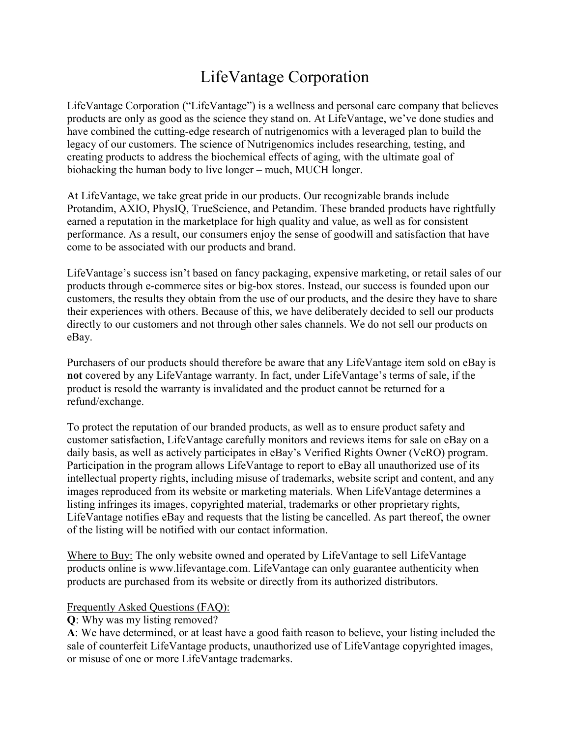## LifeVantage Corporation

LifeVantage Corporation ("LifeVantage") is a wellness and personal care company that believes products are only as good as the science they stand on. At LifeVantage, we've done studies and have combined the cutting-edge research of nutrigenomics with a leveraged plan to build the legacy of our customers. The science of Nutrigenomics includes researching, testing, and creating products to address the biochemical effects of aging, with the ultimate goal of biohacking the human body to live longer – much, MUCH longer.

At LifeVantage, we take great pride in our products. Our recognizable brands include Protandim, AXIO, PhysIQ, TrueScience, and Petandim. These branded products have rightfully earned a reputation in the marketplace for high quality and value, as well as for consistent performance. As a result, our consumers enjoy the sense of goodwill and satisfaction that have come to be associated with our products and brand.

LifeVantage's success isn't based on fancy packaging, expensive marketing, or retail sales of our products through e-commerce sites or big-box stores. Instead, our success is founded upon our customers, the results they obtain from the use of our products, and the desire they have to share their experiences with others. Because of this, we have deliberately decided to sell our products directly to our customers and not through other sales channels. We do not sell our products on eBay.

Purchasers of our products should therefore be aware that any LifeVantage item sold on eBay is **not** covered by any LifeVantage warranty. In fact, under LifeVantage's terms of sale, if the product is resold the warranty is invalidated and the product cannot be returned for a refund/exchange.

To protect the reputation of our branded products, as well as to ensure product safety and customer satisfaction, LifeVantage carefully monitors and reviews items for sale on eBay on a daily basis, as well as actively participates in eBay's Verified Rights Owner (VeRO) program. Participation in the program allows LifeVantage to report to eBay all unauthorized use of its intellectual property rights, including misuse of trademarks, website script and content, and any images reproduced from its website or marketing materials. When LifeVantage determines a listing infringes its images, copyrighted material, trademarks or other proprietary rights, LifeVantage notifies eBay and requests that the listing be cancelled. As part thereof, the owner of the listing will be notified with our contact information.

Where to Buy: The only website owned and operated by LifeVantage to sell LifeVantage products online [is www.lifevantage.com.](http://www.lifevantage.com/) LifeVantage can only guarantee authenticity when products are purchased from its website or directly from its authorized distributors.

## Frequently Asked Questions (FAQ):

**Q**: Why was my listing removed?

**A**: We have determined, or at least have a good faith reason to believe, your listing included the sale of counterfeit LifeVantage products, unauthorized use of LifeVantage copyrighted images, or misuse of one or more LifeVantage trademarks.